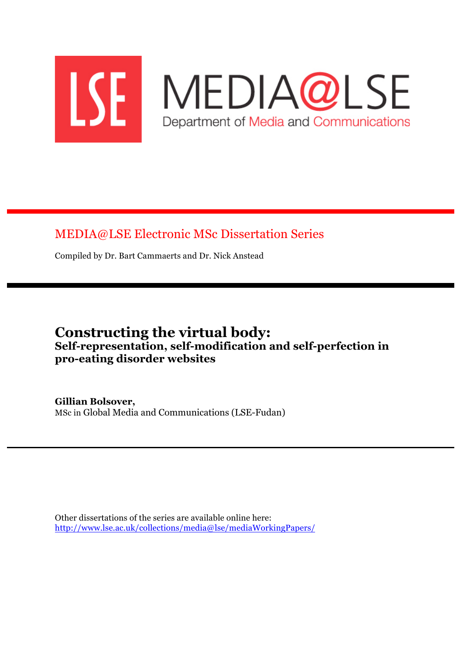

# MEDIA@LSE Electronic MSc Dissertation Series

Compiled by Dr. Bart Cammaerts and Dr. Nick Anstead

# **Constructing the virtual body: Self-representation, self-modification and self-perfection in pro-eating disorder websites**

**Gillian Bolsover,** MSc in Global Media and Communications (LSE-Fudan)

Other dissertations of the series are available online here: http://www.lse.ac.uk/collections/media@lse/mediaWorkingPapers/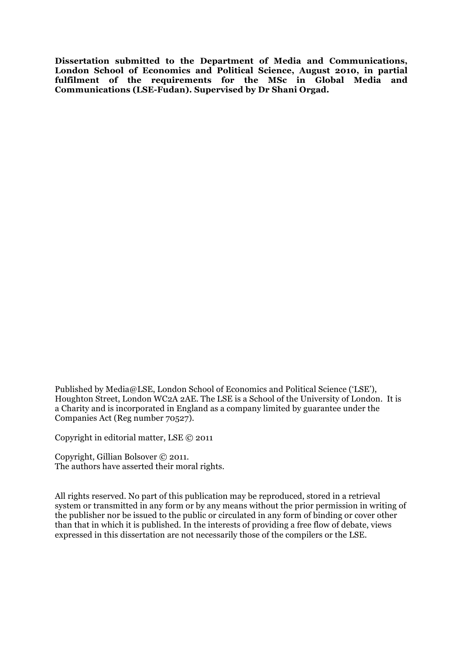**Dissertation submitted to the Department of Media and Communications, London School of Economics and Political Science, August 2010, in partial fulfilment of the requirements for the MSc in Global Media and Communications (LSE-Fudan). Supervised by Dr Shani Orgad.**

Published by Media@LSE, London School of Economics and Political Science ('LSE'), Houghton Street, London WC2A 2AE. The LSE is a School of the University of London. It is a Charity and is incorporated in England as a company limited by guarantee under the Companies Act (Reg number 70527).

Copyright in editorial matter, LSE © 2011

Copyright, Gillian Bolsover © 2011. The authors have asserted their moral rights.

All rights reserved. No part of this publication may be reproduced, stored in a retrieval system or transmitted in any form or by any means without the prior permission in writing of the publisher nor be issued to the public or circulated in any form of binding or cover other than that in which it is published. In the interests of providing a free flow of debate, views expressed in this dissertation are not necessarily those of the compilers or the LSE.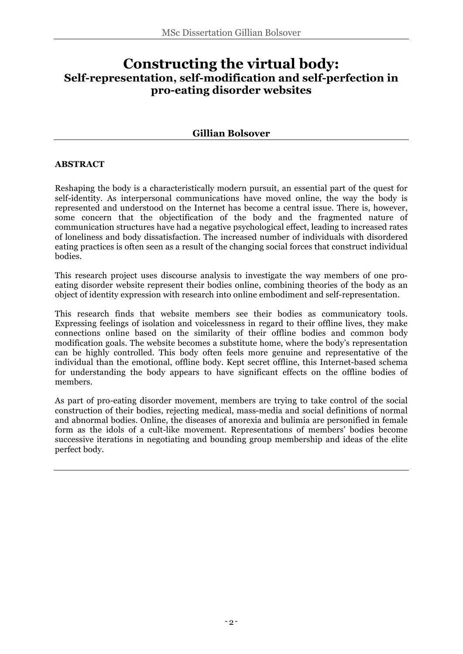# **Constructing the virtual body: Self-representation, self-modification and self-perfection in pro-eating disorder websites**

# **Gillian Bolsover**

### **ABSTRACT**

Reshaping the body is a characteristically modern pursuit, an essential part of the quest for self-identity. As interpersonal communications have moved online, the way the body is represented and understood on the Internet has become a central issue. There is, however, some concern that the objectification of the body and the fragmented nature of communication structures have had a negative psychological effect, leading to increased rates of loneliness and body dissatisfaction. The increased number of individuals with disordered eating practices is often seen as a result of the changing social forces that construct individual bodies.

This research project uses discourse analysis to investigate the way members of one proeating disorder website represent their bodies online, combining theories of the body as an object of identity expression with research into online embodiment and self-representation.

This research finds that website members see their bodies as communicatory tools. Expressing feelings of isolation and voicelessness in regard to their offline lives, they make connections online based on the similarity of their offline bodies and common body modification goals. The website becomes a substitute home, where the body's representation can be highly controlled. This body often feels more genuine and representative of the individual than the emotional, offline body. Kept secret offline, this Internet-based schema for understanding the body appears to have significant effects on the offline bodies of members.

As part of pro-eating disorder movement, members are trying to take control of the social construction of their bodies, rejecting medical, mass-media and social definitions of normal and abnormal bodies. Online, the diseases of anorexia and bulimia are personified in female form as the idols of a cult-like movement. Representations of members' bodies become successive iterations in negotiating and bounding group membership and ideas of the elite perfect body.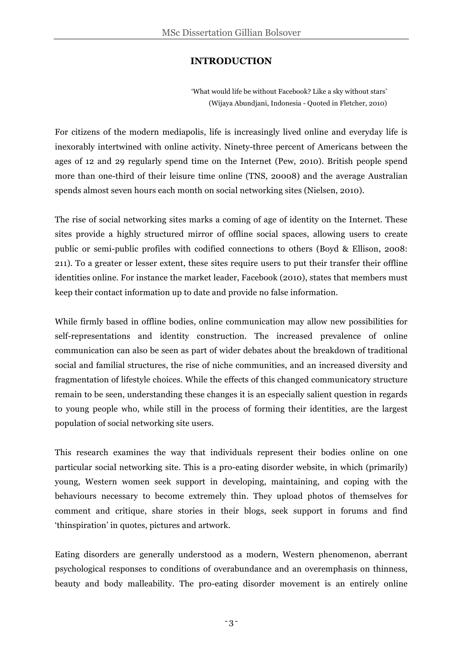# **INTRODUCTION**

'What would life be without Facebook? Like a sky without stars' (Wijaya Abundjani, Indonesia - Quoted in Fletcher, 2010)

For citizens of the modern mediapolis, life is increasingly lived online and everyday life is inexorably intertwined with online activity. Ninety-three percent of Americans between the ages of 12 and 29 regularly spend time on the Internet (Pew, 2010). British people spend more than one-third of their leisure time online (TNS, 20008) and the average Australian spends almost seven hours each month on social networking sites (Nielsen, 2010).

The rise of social networking sites marks a coming of age of identity on the Internet. These sites provide a highly structured mirror of offline social spaces, allowing users to create public or semi-public profiles with codified connections to others (Boyd & Ellison, 2008: 211). To a greater or lesser extent, these sites require users to put their transfer their offline identities online. For instance the market leader, Facebook (2010), states that members must keep their contact information up to date and provide no false information.

While firmly based in offline bodies, online communication may allow new possibilities for self-representations and identity construction. The increased prevalence of online communication can also be seen as part of wider debates about the breakdown of traditional social and familial structures, the rise of niche communities, and an increased diversity and fragmentation of lifestyle choices. While the effects of this changed communicatory structure remain to be seen, understanding these changes it is an especially salient question in regards to young people who, while still in the process of forming their identities, are the largest population of social networking site users.

This research examines the way that individuals represent their bodies online on one particular social networking site. This is a pro-eating disorder website, in which (primarily) young, Western women seek support in developing, maintaining, and coping with the behaviours necessary to become extremely thin. They upload photos of themselves for comment and critique, share stories in their blogs, seek support in forums and find 'thinspiration' in quotes, pictures and artwork.

Eating disorders are generally understood as a modern, Western phenomenon, aberrant psychological responses to conditions of overabundance and an overemphasis on thinness, beauty and body malleability. The pro-eating disorder movement is an entirely online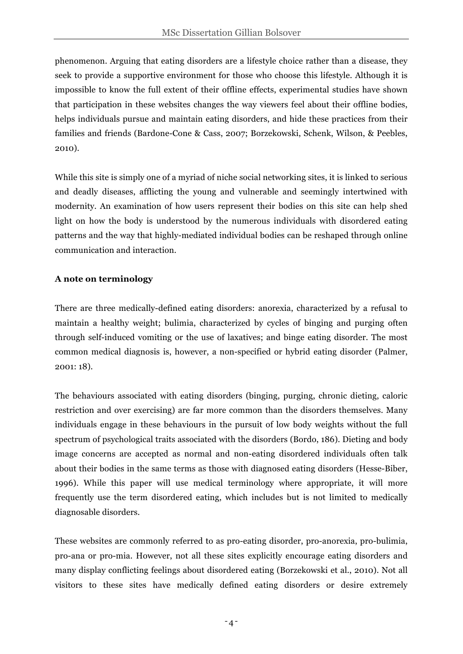phenomenon. Arguing that eating disorders are a lifestyle choice rather than a disease, they seek to provide a supportive environment for those who choose this lifestyle. Although it is impossible to know the full extent of their offline effects, experimental studies have shown that participation in these websites changes the way viewers feel about their offline bodies, helps individuals pursue and maintain eating disorders, and hide these practices from their families and friends (Bardone-Cone & Cass, 2007; Borzekowski, Schenk, Wilson, & Peebles, 2010).

While this site is simply one of a myriad of niche social networking sites, it is linked to serious and deadly diseases, afflicting the young and vulnerable and seemingly intertwined with modernity. An examination of how users represent their bodies on this site can help shed light on how the body is understood by the numerous individuals with disordered eating patterns and the way that highly-mediated individual bodies can be reshaped through online communication and interaction.

# **A note on terminology**

There are three medically-defined eating disorders: anorexia, characterized by a refusal to maintain a healthy weight; bulimia, characterized by cycles of binging and purging often through self-induced vomiting or the use of laxatives; and binge eating disorder. The most common medical diagnosis is, however, a non-specified or hybrid eating disorder (Palmer, 2001: 18).

The behaviours associated with eating disorders (binging, purging, chronic dieting, caloric restriction and over exercising) are far more common than the disorders themselves. Many individuals engage in these behaviours in the pursuit of low body weights without the full spectrum of psychological traits associated with the disorders (Bordo, 186). Dieting and body image concerns are accepted as normal and non-eating disordered individuals often talk about their bodies in the same terms as those with diagnosed eating disorders (Hesse-Biber, 1996). While this paper will use medical terminology where appropriate, it will more frequently use the term disordered eating, which includes but is not limited to medically diagnosable disorders.

These websites are commonly referred to as pro-eating disorder, pro-anorexia, pro-bulimia, pro-ana or pro-mia. However, not all these sites explicitly encourage eating disorders and many display conflicting feelings about disordered eating (Borzekowski et al., 2010). Not all visitors to these sites have medically defined eating disorders or desire extremely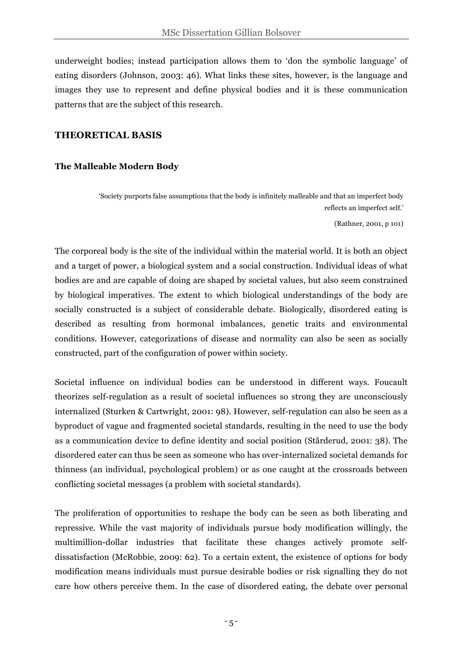underweight bodies; instead participation allows them to 'don the symbolic language' of eating disorders (Johnson, 2003: 46). What links these sites, however, is the language and images they use to represent and define physical bodies and it is these communication patterns that are the subject of this research.

# **THEORETICAL BASIS**

### **The Malleable Modern Body**

'Society purports false assumptions that the body is infinitely malleable and that an imperfect body reflects an imperfect self.'

(Rathner, 2001, p 101)

The corporeal body is the site of the individual within the material world. It is both an object and a target of power, a biological system and a social construction. Individual ideas of what bodies are and are capable of doing are shaped by societal values, but also seem constrained by biological imperatives. The extent to which biological understandings of the body are socially constructed is a subject of considerable debate. Biologically, disordered eating is described as resulting from hormonal imbalances, genetic traits and environmental conditions. However, categorizations of disease and normality can also be seen as socially constructed, part of the configuration of power within society.

Societal influence on individual bodies can be understood in different ways. Foucault theorizes self-regulation as a result of societal influences so strong they are unconsciously internalized (Sturken & Cartwright, 2001: 98). However, self-regulation can also be seen as a byproduct of vague and fragmented societal standards, resulting in the need to use the body as a communication device to define identity and social position (Stårderud, 2001: 38). The disordered eater can thus be seen as someone who has over-internalized societal demands for thinness (an individual, psychological problem) or as one caught at the crossroads between conflicting societal messages (a problem with societal standards).

The proliferation of opportunities to reshape the body can be seen as both liberating and repressive. While the vast majority of individuals pursue body modification willingly, the multimillion-dollar industries that facilitate these changes actively promote selfdissatisfaction (McRobbie, 2009: 62). To a certain extent, the existence of options for body modification means individuals must pursue desirable bodies or risk signalling they do not care how others perceive them. In the case of disordered eating, the debate over personal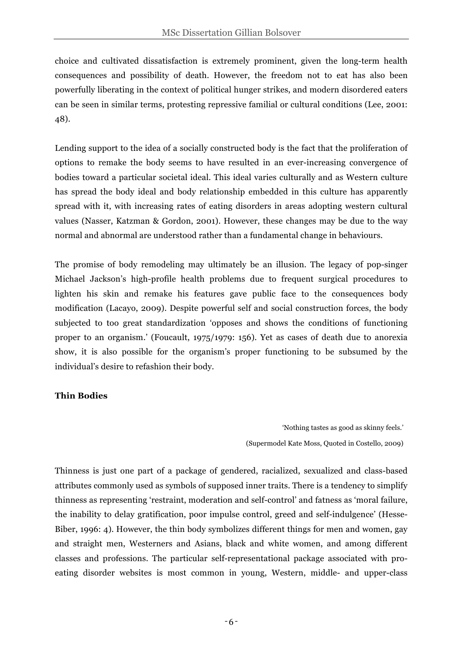choice and cultivated dissatisfaction is extremely prominent, given the long-term health consequences and possibility of death. However, the freedom not to eat has also been powerfully liberating in the context of political hunger strikes, and modern disordered eaters can be seen in similar terms, protesting repressive familial or cultural conditions (Lee, 2001: 48).

Lending support to the idea of a socially constructed body is the fact that the proliferation of options to remake the body seems to have resulted in an ever-increasing convergence of bodies toward a particular societal ideal. This ideal varies culturally and as Western culture has spread the body ideal and body relationship embedded in this culture has apparently spread with it, with increasing rates of eating disorders in areas adopting western cultural values (Nasser, Katzman & Gordon, 2001). However, these changes may be due to the way normal and abnormal are understood rather than a fundamental change in behaviours.

The promise of body remodeling may ultimately be an illusion. The legacy of pop-singer Michael Jackson's high-profile health problems due to frequent surgical procedures to lighten his skin and remake his features gave public face to the consequences body modification (Lacayo, 2009). Despite powerful self and social construction forces, the body subjected to too great standardization 'opposes and shows the conditions of functioning proper to an organism.' (Foucault, 1975/1979: 156). Yet as cases of death due to anorexia show, it is also possible for the organism's proper functioning to be subsumed by the individual's desire to refashion their body.

# **Thin Bodies**

'Nothing tastes as good as skinny feels.' (Supermodel Kate Moss, Quoted in Costello, 2009)

Thinness is just one part of a package of gendered, racialized, sexualized and class-based attributes commonly used as symbols of supposed inner traits. There is a tendency to simplify thinness as representing 'restraint, moderation and self-control' and fatness as 'moral failure, the inability to delay gratification, poor impulse control, greed and self-indulgence' (Hesse-Biber, 1996: 4). However, the thin body symbolizes different things for men and women, gay and straight men, Westerners and Asians, black and white women, and among different classes and professions. The particular self-representational package associated with proeating disorder websites is most common in young, Western, middle- and upper-class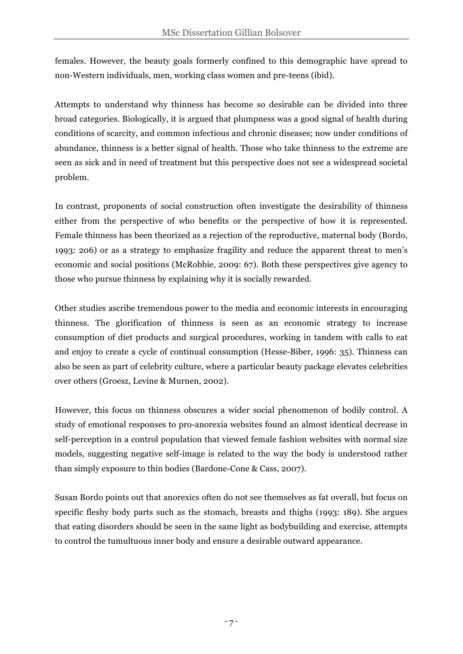females. However, the beauty goals formerly confined to this demographic have spread to non-Western individuals, men, working class women and pre-teens (ibid).

Attempts to understand why thinness has become so desirable can be divided into three broad categories. Biologically, it is argued that plumpness was a good signal of health during conditions of scarcity, and common infectious and chronic diseases; now under conditions of abundance, thinness is a better signal of health. Those who take thinness to the extreme are seen as sick and in need of treatment but this perspective does not see a widespread societal problem.

In contrast, proponents of social construction often investigate the desirability of thinness either from the perspective of who benefits or the perspective of how it is represented. Female thinness has been theorized as a rejection of the reproductive, maternal body (Bordo, 1993: 206) or as a strategy to emphasize fragility and reduce the apparent threat to men's economic and social positions (McRobbie, 2009: 67). Both these perspectives give agency to those who pursue thinness by explaining why it is socially rewarded.

Other studies ascribe tremendous power to the media and economic interests in encouraging thinness. The glorification of thinness is seen as an economic strategy to increase consumption of diet products and surgical procedures, working in tandem with calls to eat and enjoy to create a cycle of continual consumption (Hesse-Biber, 1996: 35). Thinness can also be seen as part of celebrity culture, where a particular beauty package elevates celebrities over others (Groesz, Levine & Murnen, 2002).

However, this focus on thinness obscures a wider social phenomenon of bodily control. A study of emotional responses to pro-anorexia websites found an almost identical decrease in self-perception in a control population that viewed female fashion websites with normal size models, suggesting negative self-image is related to the way the body is understood rather than simply exposure to thin bodies (Bardone-Cone & Cass, 2007).

Susan Bordo points out that anorexics often do not see themselves as fat overall, but focus on specific fleshy body parts such as the stomach, breasts and thighs (1993: 189). She argues that eating disorders should be seen in the same light as bodybuilding and exercise, attempts to control the tumultuous inner body and ensure a desirable outward appearance.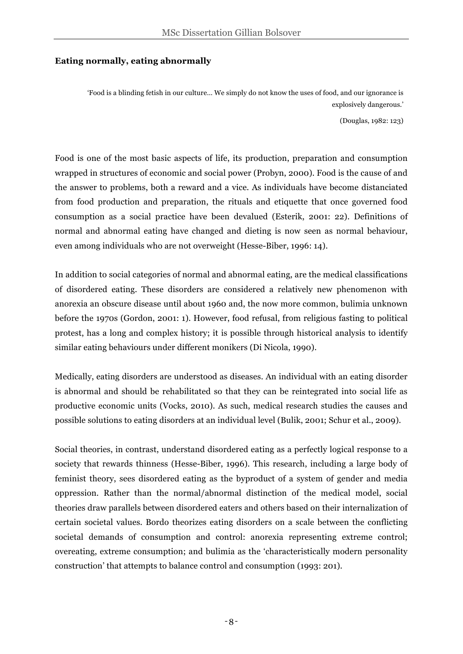# **Eating normally, eating abnormally**

'Food is a blinding fetish in our culture… We simply do not know the uses of food, and our ignorance is explosively dangerous.' (Douglas, 1982: 123)

Food is one of the most basic aspects of life, its production, preparation and consumption wrapped in structures of economic and social power (Probyn, 2000). Food is the cause of and the answer to problems, both a reward and a vice. As individuals have become distanciated from food production and preparation, the rituals and etiquette that once governed food consumption as a social practice have been devalued (Esterik, 2001: 22). Definitions of normal and abnormal eating have changed and dieting is now seen as normal behaviour, even among individuals who are not overweight (Hesse-Biber, 1996: 14).

In addition to social categories of normal and abnormal eating, are the medical classifications of disordered eating. These disorders are considered a relatively new phenomenon with anorexia an obscure disease until about 1960 and, the now more common, bulimia unknown before the 1970s (Gordon, 2001: 1). However, food refusal, from religious fasting to political protest, has a long and complex history; it is possible through historical analysis to identify similar eating behaviours under different monikers (Di Nicola, 1990).

Medically, eating disorders are understood as diseases. An individual with an eating disorder is abnormal and should be rehabilitated so that they can be reintegrated into social life as productive economic units (Vocks, 2010). As such, medical research studies the causes and possible solutions to eating disorders at an individual level (Bulik, 2001; Schur et al., 2009).

Social theories, in contrast, understand disordered eating as a perfectly logical response to a society that rewards thinness (Hesse-Biber, 1996). This research, including a large body of feminist theory, sees disordered eating as the byproduct of a system of gender and media oppression. Rather than the normal/abnormal distinction of the medical model, social theories draw parallels between disordered eaters and others based on their internalization of certain societal values. Bordo theorizes eating disorders on a scale between the conflicting societal demands of consumption and control: anorexia representing extreme control; overeating, extreme consumption; and bulimia as the 'characteristically modern personality construction' that attempts to balance control and consumption (1993: 201).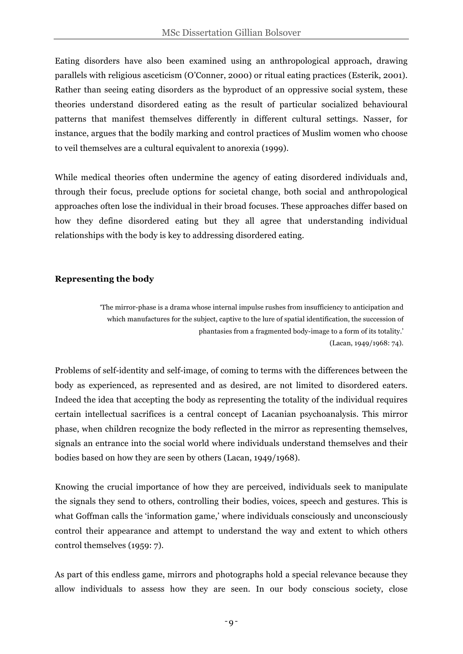Eating disorders have also been examined using an anthropological approach, drawing parallels with religious asceticism (O'Conner, 2000) or ritual eating practices (Esterik, 2001). Rather than seeing eating disorders as the byproduct of an oppressive social system, these theories understand disordered eating as the result of particular socialized behavioural patterns that manifest themselves differently in different cultural settings. Nasser, for instance, argues that the bodily marking and control practices of Muslim women who choose to veil themselves are a cultural equivalent to anorexia (1999).

While medical theories often undermine the agency of eating disordered individuals and, through their focus, preclude options for societal change, both social and anthropological approaches often lose the individual in their broad focuses. These approaches differ based on how they define disordered eating but they all agree that understanding individual relationships with the body is key to addressing disordered eating.

# **Representing the body**

'The mirror-phase is a drama whose internal impulse rushes from insufficiency to anticipation and which manufactures for the subject, captive to the lure of spatial identification, the succession of phantasies from a fragmented body-image to a form of its totality.' (Lacan, 1949/1968: 74).

Problems of self-identity and self-image, of coming to terms with the differences between the body as experienced, as represented and as desired, are not limited to disordered eaters. Indeed the idea that accepting the body as representing the totality of the individual requires certain intellectual sacrifices is a central concept of Lacanian psychoanalysis. This mirror phase, when children recognize the body reflected in the mirror as representing themselves, signals an entrance into the social world where individuals understand themselves and their bodies based on how they are seen by others (Lacan, 1949/1968).

Knowing the crucial importance of how they are perceived, individuals seek to manipulate the signals they send to others, controlling their bodies, voices, speech and gestures. This is what Goffman calls the 'information game,' where individuals consciously and unconsciously control their appearance and attempt to understand the way and extent to which others control themselves (1959: 7).

As part of this endless game, mirrors and photographs hold a special relevance because they allow individuals to assess how they are seen. In our body conscious society, close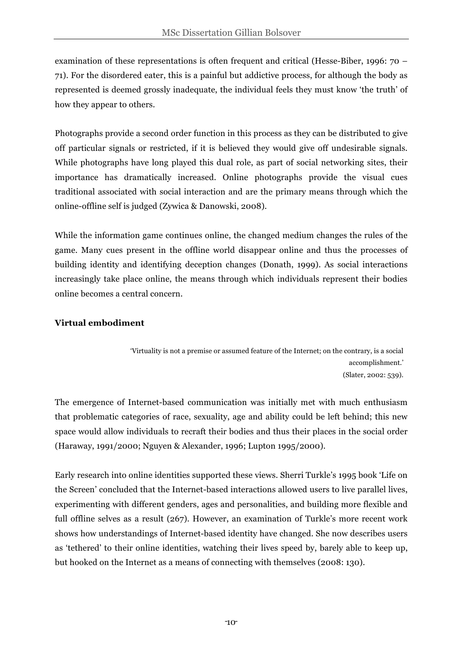examination of these representations is often frequent and critical (Hesse-Biber, 1996: 70 – 71). For the disordered eater, this is a painful but addictive process, for although the body as represented is deemed grossly inadequate, the individual feels they must know 'the truth' of how they appear to others.

Photographs provide a second order function in this process as they can be distributed to give off particular signals or restricted, if it is believed they would give off undesirable signals. While photographs have long played this dual role, as part of social networking sites, their importance has dramatically increased. Online photographs provide the visual cues traditional associated with social interaction and are the primary means through which the online-offline self is judged (Zywica & Danowski, 2008).

While the information game continues online, the changed medium changes the rules of the game. Many cues present in the offline world disappear online and thus the processes of building identity and identifying deception changes (Donath, 1999). As social interactions increasingly take place online, the means through which individuals represent their bodies online becomes a central concern.

# **Virtual embodiment**

'Virtuality is not a premise or assumed feature of the Internet; on the contrary, is a social accomplishment.' (Slater, 2002: 539).

The emergence of Internet-based communication was initially met with much enthusiasm that problematic categories of race, sexuality, age and ability could be left behind; this new space would allow individuals to recraft their bodies and thus their places in the social order (Haraway, 1991/2000; Nguyen & Alexander, 1996; Lupton 1995/2000).

Early research into online identities supported these views. Sherri Turkle's 1995 book 'Life on the Screen' concluded that the Internet-based interactions allowed users to live parallel lives, experimenting with different genders, ages and personalities, and building more flexible and full offline selves as a result (267). However, an examination of Turkle's more recent work shows how understandings of Internet-based identity have changed. She now describes users as 'tethered' to their online identities, watching their lives speed by, barely able to keep up, but hooked on the Internet as a means of connecting with themselves (2008: 130).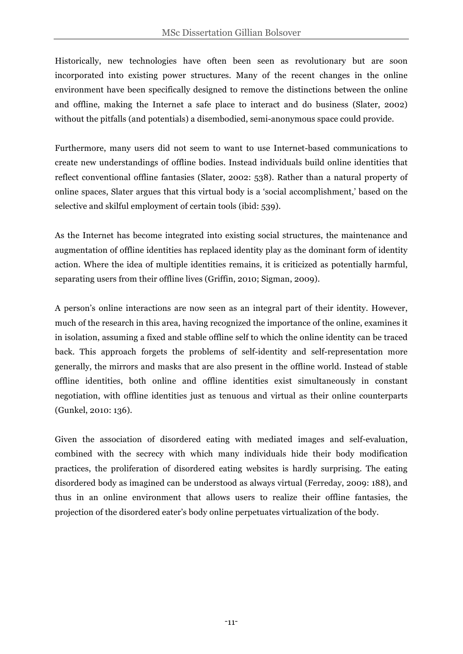Historically, new technologies have often been seen as revolutionary but are soon incorporated into existing power structures. Many of the recent changes in the online environment have been specifically designed to remove the distinctions between the online and offline, making the Internet a safe place to interact and do business (Slater, 2002) without the pitfalls (and potentials) a disembodied, semi-anonymous space could provide.

Furthermore, many users did not seem to want to use Internet-based communications to create new understandings of offline bodies. Instead individuals build online identities that reflect conventional offline fantasies (Slater, 2002: 538). Rather than a natural property of online spaces, Slater argues that this virtual body is a 'social accomplishment,' based on the selective and skilful employment of certain tools (ibid: 539).

As the Internet has become integrated into existing social structures, the maintenance and augmentation of offline identities has replaced identity play as the dominant form of identity action. Where the idea of multiple identities remains, it is criticized as potentially harmful, separating users from their offline lives (Griffin, 2010; Sigman, 2009).

A person's online interactions are now seen as an integral part of their identity. However, much of the research in this area, having recognized the importance of the online, examines it in isolation, assuming a fixed and stable offline self to which the online identity can be traced back. This approach forgets the problems of self-identity and self-representation more generally, the mirrors and masks that are also present in the offline world. Instead of stable offline identities, both online and offline identities exist simultaneously in constant negotiation, with offline identities just as tenuous and virtual as their online counterparts (Gunkel, 2010: 136).

Given the association of disordered eating with mediated images and self-evaluation, combined with the secrecy with which many individuals hide their body modification practices, the proliferation of disordered eating websites is hardly surprising. The eating disordered body as imagined can be understood as always virtual (Ferreday, 2009: 188), and thus in an online environment that allows users to realize their offline fantasies, the projection of the disordered eater's body online perpetuates virtualization of the body.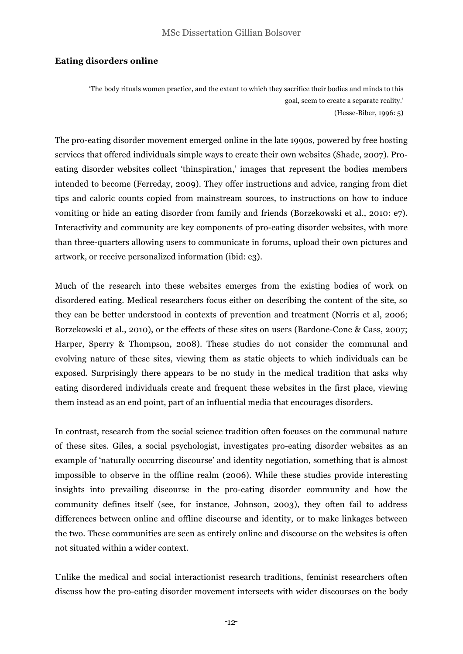#### **Eating disorders online**

'The body rituals women practice, and the extent to which they sacrifice their bodies and minds to this goal, seem to create a separate reality.' (Hesse-Biber, 1996: 5)

The pro-eating disorder movement emerged online in the late 1990s, powered by free hosting services that offered individuals simple ways to create their own websites (Shade, 2007). Proeating disorder websites collect 'thinspiration,' images that represent the bodies members intended to become (Ferreday, 2009). They offer instructions and advice, ranging from diet tips and caloric counts copied from mainstream sources, to instructions on how to induce vomiting or hide an eating disorder from family and friends (Borzekowski et al., 2010: e7). Interactivity and community are key components of pro-eating disorder websites, with more than three-quarters allowing users to communicate in forums, upload their own pictures and artwork, or receive personalized information (ibid: e3).

Much of the research into these websites emerges from the existing bodies of work on disordered eating. Medical researchers focus either on describing the content of the site, so they can be better understood in contexts of prevention and treatment (Norris et al, 2006; Borzekowski et al., 2010), or the effects of these sites on users (Bardone-Cone & Cass, 2007; Harper, Sperry & Thompson, 2008). These studies do not consider the communal and evolving nature of these sites, viewing them as static objects to which individuals can be exposed. Surprisingly there appears to be no study in the medical tradition that asks why eating disordered individuals create and frequent these websites in the first place, viewing them instead as an end point, part of an influential media that encourages disorders.

In contrast, research from the social science tradition often focuses on the communal nature of these sites. Giles, a social psychologist, investigates pro-eating disorder websites as an example of 'naturally occurring discourse' and identity negotiation, something that is almost impossible to observe in the offline realm (2006). While these studies provide interesting insights into prevailing discourse in the pro-eating disorder community and how the community defines itself (see, for instance, Johnson, 2003), they often fail to address differences between online and offline discourse and identity, or to make linkages between the two. These communities are seen as entirely online and discourse on the websites is often not situated within a wider context.

Unlike the medical and social interactionist research traditions, feminist researchers often discuss how the pro-eating disorder movement intersects with wider discourses on the body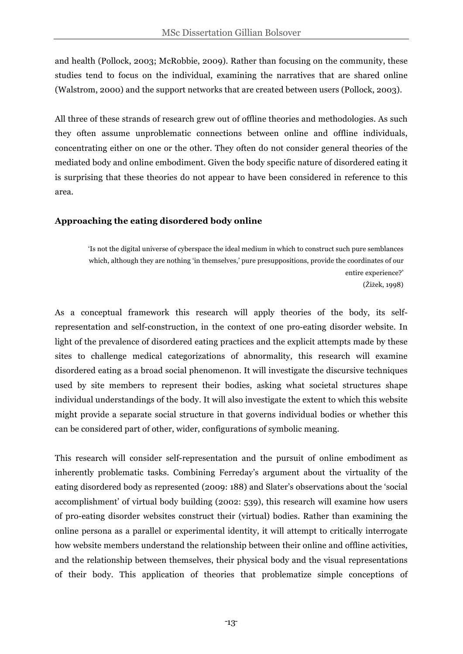and health (Pollock, 2003; McRobbie, 2009). Rather than focusing on the community, these studies tend to focus on the individual, examining the narratives that are shared online (Walstrom, 2000) and the support networks that are created between users (Pollock, 2003).

All three of these strands of research grew out of offline theories and methodologies. As such they often assume unproblematic connections between online and offline individuals, concentrating either on one or the other. They often do not consider general theories of the mediated body and online embodiment. Given the body specific nature of disordered eating it is surprising that these theories do not appear to have been considered in reference to this area.

# **Approaching the eating disordered body online**

'Is not the digital universe of cyberspace the ideal medium in which to construct such pure semblances which, although they are nothing 'in themselves,' pure presuppositions, provide the coordinates of our entire experience?' (Žižek, 1998)

As a conceptual framework this research will apply theories of the body, its selfrepresentation and self-construction, in the context of one pro-eating disorder website. In light of the prevalence of disordered eating practices and the explicit attempts made by these sites to challenge medical categorizations of abnormality, this research will examine disordered eating as a broad social phenomenon. It will investigate the discursive techniques used by site members to represent their bodies, asking what societal structures shape individual understandings of the body. It will also investigate the extent to which this website might provide a separate social structure in that governs individual bodies or whether this can be considered part of other, wider, configurations of symbolic meaning.

This research will consider self-representation and the pursuit of online embodiment as inherently problematic tasks. Combining Ferreday's argument about the virtuality of the eating disordered body as represented (2009: 188) and Slater's observations about the 'social accomplishment' of virtual body building (2002: 539), this research will examine how users of pro-eating disorder websites construct their (virtual) bodies. Rather than examining the online persona as a parallel or experimental identity, it will attempt to critically interrogate how website members understand the relationship between their online and offline activities, and the relationship between themselves, their physical body and the visual representations of their body. This application of theories that problematize simple conceptions of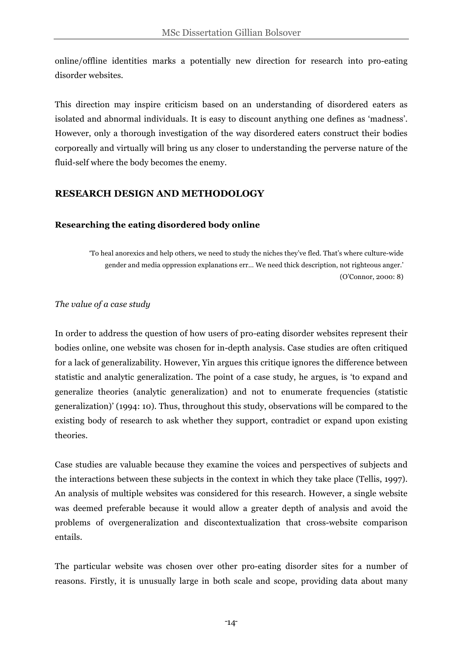online/offline identities marks a potentially new direction for research into pro-eating disorder websites.

This direction may inspire criticism based on an understanding of disordered eaters as isolated and abnormal individuals. It is easy to discount anything one defines as 'madness'. However, only a thorough investigation of the way disordered eaters construct their bodies corporeally and virtually will bring us any closer to understanding the perverse nature of the fluid-self where the body becomes the enemy.

# **RESEARCH DESIGN AND METHODOLOGY**

### **Researching the eating disordered body online**

'To heal anorexics and help others, we need to study the niches they've fled. That's where culture-wide gender and media oppression explanations err… We need thick description, not righteous anger.' (O'Connor, 2000: 8)

#### *The value of a case study*

In order to address the question of how users of pro-eating disorder websites represent their bodies online, one website was chosen for in-depth analysis. Case studies are often critiqued for a lack of generalizability. However, Yin argues this critique ignores the difference between statistic and analytic generalization. The point of a case study, he argues, is 'to expand and generalize theories (analytic generalization) and not to enumerate frequencies (statistic generalization)' (1994: 10). Thus, throughout this study, observations will be compared to the existing body of research to ask whether they support, contradict or expand upon existing theories.

Case studies are valuable because they examine the voices and perspectives of subjects and the interactions between these subjects in the context in which they take place (Tellis, 1997). An analysis of multiple websites was considered for this research. However, a single website was deemed preferable because it would allow a greater depth of analysis and avoid the problems of overgeneralization and discontextualization that cross-website comparison entails.

The particular website was chosen over other pro-eating disorder sites for a number of reasons. Firstly, it is unusually large in both scale and scope, providing data about many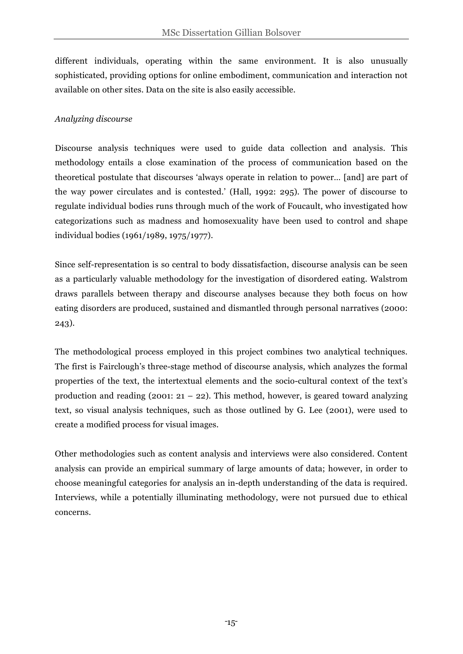different individuals, operating within the same environment. It is also unusually sophisticated, providing options for online embodiment, communication and interaction not available on other sites. Data on the site is also easily accessible.

# *Analyzing discourse*

Discourse analysis techniques were used to guide data collection and analysis. This methodology entails a close examination of the process of communication based on the theoretical postulate that discourses 'always operate in relation to power… [and] are part of the way power circulates and is contested.' (Hall, 1992: 295). The power of discourse to regulate individual bodies runs through much of the work of Foucault, who investigated how categorizations such as madness and homosexuality have been used to control and shape individual bodies (1961/1989, 1975/1977).

Since self-representation is so central to body dissatisfaction, discourse analysis can be seen as a particularly valuable methodology for the investigation of disordered eating. Walstrom draws parallels between therapy and discourse analyses because they both focus on how eating disorders are produced, sustained and dismantled through personal narratives (2000: 243).

The methodological process employed in this project combines two analytical techniques. The first is Fairclough's three-stage method of discourse analysis, which analyzes the formal properties of the text, the intertextual elements and the socio-cultural context of the text's production and reading (2001:  $21 - 22$ ). This method, however, is geared toward analyzing text, so visual analysis techniques, such as those outlined by G. Lee (2001), were used to create a modified process for visual images.

Other methodologies such as content analysis and interviews were also considered. Content analysis can provide an empirical summary of large amounts of data; however, in order to choose meaningful categories for analysis an in-depth understanding of the data is required. Interviews, while a potentially illuminating methodology, were not pursued due to ethical concerns.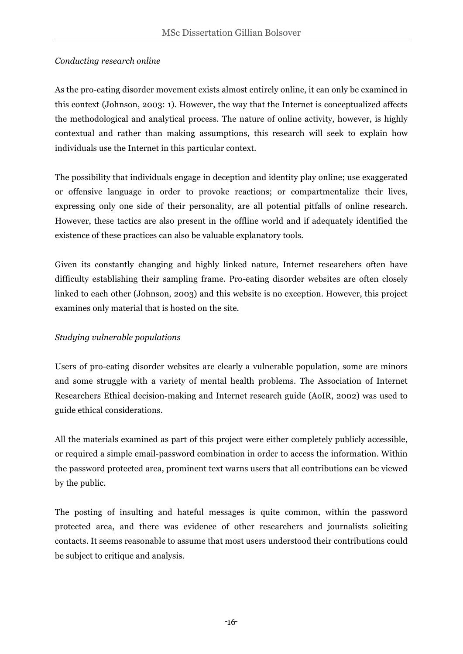# *Conducting research online*

As the pro-eating disorder movement exists almost entirely online, it can only be examined in this context (Johnson, 2003: 1). However, the way that the Internet is conceptualized affects the methodological and analytical process. The nature of online activity, however, is highly contextual and rather than making assumptions, this research will seek to explain how individuals use the Internet in this particular context.

The possibility that individuals engage in deception and identity play online; use exaggerated or offensive language in order to provoke reactions; or compartmentalize their lives, expressing only one side of their personality, are all potential pitfalls of online research. However, these tactics are also present in the offline world and if adequately identified the existence of these practices can also be valuable explanatory tools.

Given its constantly changing and highly linked nature, Internet researchers often have difficulty establishing their sampling frame. Pro-eating disorder websites are often closely linked to each other (Johnson, 2003) and this website is no exception. However, this project examines only material that is hosted on the site.

# *Studying vulnerable populations*

Users of pro-eating disorder websites are clearly a vulnerable population, some are minors and some struggle with a variety of mental health problems. The Association of Internet Researchers Ethical decision-making and Internet research guide (AoIR, 2002) was used to guide ethical considerations.

All the materials examined as part of this project were either completely publicly accessible, or required a simple email-password combination in order to access the information. Within the password protected area, prominent text warns users that all contributions can be viewed by the public.

The posting of insulting and hateful messages is quite common, within the password protected area, and there was evidence of other researchers and journalists soliciting contacts. It seems reasonable to assume that most users understood their contributions could be subject to critique and analysis.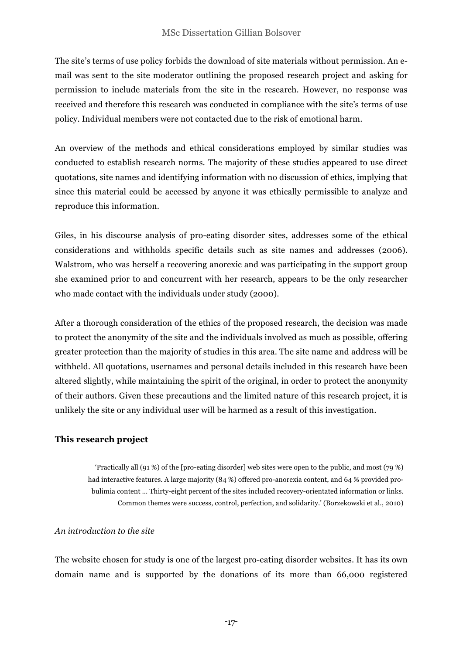The site's terms of use policy forbids the download of site materials without permission. An email was sent to the site moderator outlining the proposed research project and asking for permission to include materials from the site in the research. However, no response was received and therefore this research was conducted in compliance with the site's terms of use policy. Individual members were not contacted due to the risk of emotional harm.

An overview of the methods and ethical considerations employed by similar studies was conducted to establish research norms. The majority of these studies appeared to use direct quotations, site names and identifying information with no discussion of ethics, implying that since this material could be accessed by anyone it was ethically permissible to analyze and reproduce this information.

Giles, in his discourse analysis of pro-eating disorder sites, addresses some of the ethical considerations and withholds specific details such as site names and addresses (2006). Walstrom, who was herself a recovering anorexic and was participating in the support group she examined prior to and concurrent with her research, appears to be the only researcher who made contact with the individuals under study (2000).

After a thorough consideration of the ethics of the proposed research, the decision was made to protect the anonymity of the site and the individuals involved as much as possible, offering greater protection than the majority of studies in this area. The site name and address will be withheld. All quotations, usernames and personal details included in this research have been altered slightly, while maintaining the spirit of the original, in order to protect the anonymity of their authors. Given these precautions and the limited nature of this research project, it is unlikely the site or any individual user will be harmed as a result of this investigation.

# **This research project**

'Practically all (91 %) of the [pro-eating disorder] web sites were open to the public, and most (79 %) had interactive features. A large majority (84 %) offered pro-anorexia content, and 64 % provided probulimia content … Thirty-eight percent of the sites included recovery-orientated information or links. Common themes were success, control, perfection, and solidarity.' (Borzekowski et al., 2010)

#### *An introduction to the site*

The website chosen for study is one of the largest pro-eating disorder websites. It has its own domain name and is supported by the donations of its more than 66,000 registered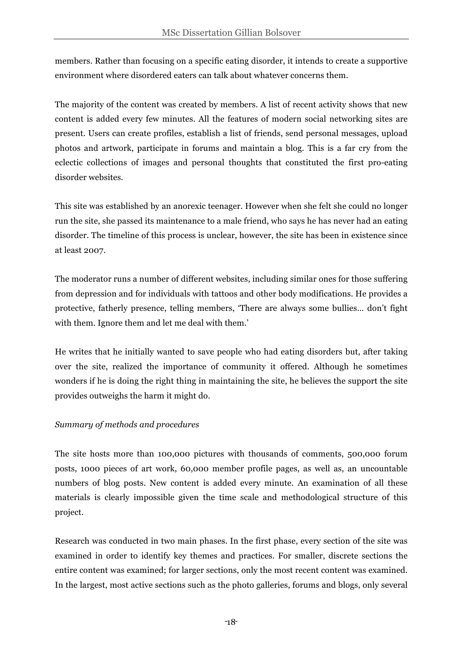members. Rather than focusing on a specific eating disorder, it intends to create a supportive environment where disordered eaters can talk about whatever concerns them.

The majority of the content was created by members. A list of recent activity shows that new content is added every few minutes. All the features of modern social networking sites are present. Users can create profiles, establish a list of friends, send personal messages, upload photos and artwork, participate in forums and maintain a blog. This is a far cry from the eclectic collections of images and personal thoughts that constituted the first pro-eating disorder websites.

This site was established by an anorexic teenager. However when she felt she could no longer run the site, she passed its maintenance to a male friend, who says he has never had an eating disorder. The timeline of this process is unclear, however, the site has been in existence since at least 2007.

The moderator runs a number of different websites, including similar ones for those suffering from depression and for individuals with tattoos and other body modifications. He provides a protective, fatherly presence, telling members, 'There are always some bullies… don't fight with them. Ignore them and let me deal with them.'

He writes that he initially wanted to save people who had eating disorders but, after taking over the site, realized the importance of community it offered. Although he sometimes wonders if he is doing the right thing in maintaining the site, he believes the support the site provides outweighs the harm it might do.

# *Summary of methods and procedures*

The site hosts more than 100,000 pictures with thousands of comments, 500,000 forum posts, 1000 pieces of art work, 60,000 member profile pages, as well as, an uncountable numbers of blog posts. New content is added every minute. An examination of all these materials is clearly impossible given the time scale and methodological structure of this project.

Research was conducted in two main phases. In the first phase, every section of the site was examined in order to identify key themes and practices. For smaller, discrete sections the entire content was examined; for larger sections, only the most recent content was examined. In the largest, most active sections such as the photo galleries, forums and blogs, only several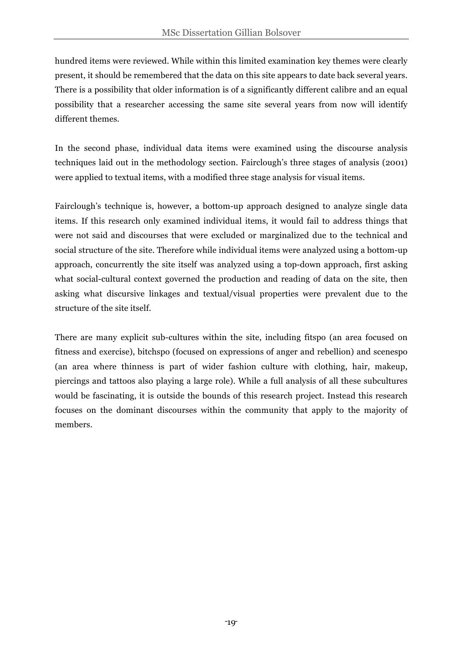hundred items were reviewed. While within this limited examination key themes were clearly present, it should be remembered that the data on this site appears to date back several years. There is a possibility that older information is of a significantly different calibre and an equal possibility that a researcher accessing the same site several years from now will identify different themes.

In the second phase, individual data items were examined using the discourse analysis techniques laid out in the methodology section. Fairclough's three stages of analysis (2001) were applied to textual items, with a modified three stage analysis for visual items.

Fairclough's technique is, however, a bottom-up approach designed to analyze single data items. If this research only examined individual items, it would fail to address things that were not said and discourses that were excluded or marginalized due to the technical and social structure of the site. Therefore while individual items were analyzed using a bottom-up approach, concurrently the site itself was analyzed using a top-down approach, first asking what social-cultural context governed the production and reading of data on the site, then asking what discursive linkages and textual/visual properties were prevalent due to the structure of the site itself.

There are many explicit sub-cultures within the site, including fitspo (an area focused on fitness and exercise), bitchspo (focused on expressions of anger and rebellion) and scenespo (an area where thinness is part of wider fashion culture with clothing, hair, makeup, piercings and tattoos also playing a large role). While a full analysis of all these subcultures would be fascinating, it is outside the bounds of this research project. Instead this research focuses on the dominant discourses within the community that apply to the majority of members.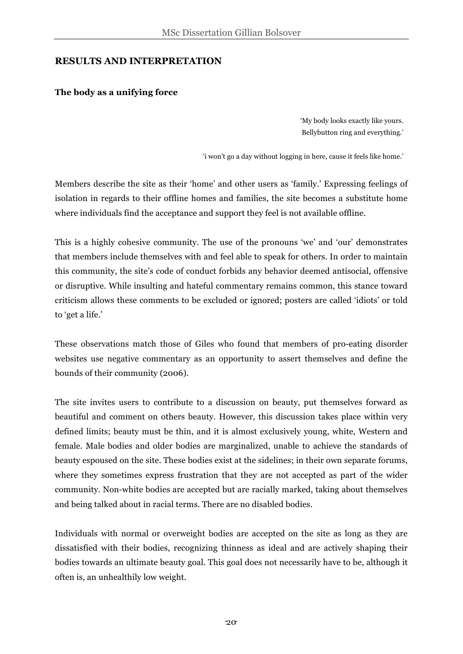# **RESULTS AND INTERPRETATION**

### **The body as a unifying force**

'My body looks exactly like yours. Bellybutton ring and everything.'

'i won't go a day without logging in here, cause it feels like home.'

Members describe the site as their 'home' and other users as 'family.' Expressing feelings of isolation in regards to their offline homes and families, the site becomes a substitute home where individuals find the acceptance and support they feel is not available offline.

This is a highly cohesive community. The use of the pronouns 'we' and 'our' demonstrates that members include themselves with and feel able to speak for others. In order to maintain this community, the site's code of conduct forbids any behavior deemed antisocial, offensive or disruptive. While insulting and hateful commentary remains common, this stance toward criticism allows these comments to be excluded or ignored; posters are called 'idiots' or told to 'get a life.'

These observations match those of Giles who found that members of pro-eating disorder websites use negative commentary as an opportunity to assert themselves and define the bounds of their community (2006).

The site invites users to contribute to a discussion on beauty, put themselves forward as beautiful and comment on others beauty. However, this discussion takes place within very defined limits; beauty must be thin, and it is almost exclusively young, white, Western and female. Male bodies and older bodies are marginalized, unable to achieve the standards of beauty espoused on the site. These bodies exist at the sidelines; in their own separate forums, where they sometimes express frustration that they are not accepted as part of the wider community. Non-white bodies are accepted but are racially marked, taking about themselves and being talked about in racial terms. There are no disabled bodies.

Individuals with normal or overweight bodies are accepted on the site as long as they are dissatisfied with their bodies, recognizing thinness as ideal and are actively shaping their bodies towards an ultimate beauty goal. This goal does not necessarily have to be, although it often is, an unhealthily low weight.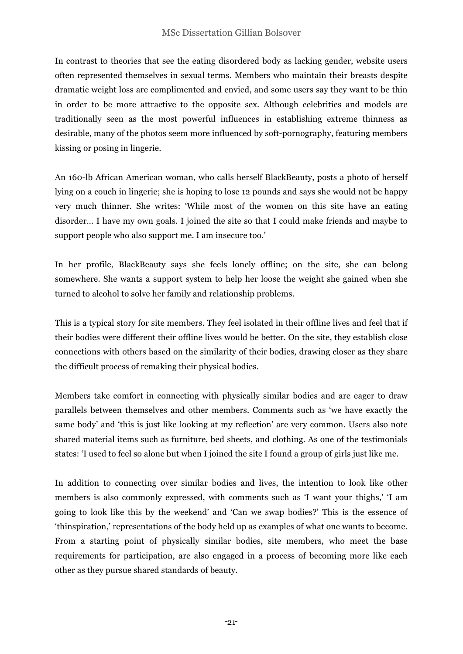In contrast to theories that see the eating disordered body as lacking gender, website users often represented themselves in sexual terms. Members who maintain their breasts despite dramatic weight loss are complimented and envied, and some users say they want to be thin in order to be more attractive to the opposite sex. Although celebrities and models are traditionally seen as the most powerful influences in establishing extreme thinness as desirable, many of the photos seem more influenced by soft-pornography, featuring members kissing or posing in lingerie.

An 160-lb African American woman, who calls herself BlackBeauty, posts a photo of herself lying on a couch in lingerie; she is hoping to lose 12 pounds and says she would not be happy very much thinner. She writes: 'While most of the women on this site have an eating disorder… I have my own goals. I joined the site so that I could make friends and maybe to support people who also support me. I am insecure too.'

In her profile, BlackBeauty says she feels lonely offline; on the site, she can belong somewhere. She wants a support system to help her loose the weight she gained when she turned to alcohol to solve her family and relationship problems.

This is a typical story for site members. They feel isolated in their offline lives and feel that if their bodies were different their offline lives would be better. On the site, they establish close connections with others based on the similarity of their bodies, drawing closer as they share the difficult process of remaking their physical bodies.

Members take comfort in connecting with physically similar bodies and are eager to draw parallels between themselves and other members. Comments such as 'we have exactly the same body' and 'this is just like looking at my reflection' are very common. Users also note shared material items such as furniture, bed sheets, and clothing. As one of the testimonials states: 'I used to feel so alone but when I joined the site I found a group of girls just like me.

In addition to connecting over similar bodies and lives, the intention to look like other members is also commonly expressed, with comments such as 'I want your thighs,' 'I am going to look like this by the weekend' and 'Can we swap bodies?' This is the essence of 'thinspiration,' representations of the body held up as examples of what one wants to become. From a starting point of physically similar bodies, site members, who meet the base requirements for participation, are also engaged in a process of becoming more like each other as they pursue shared standards of beauty.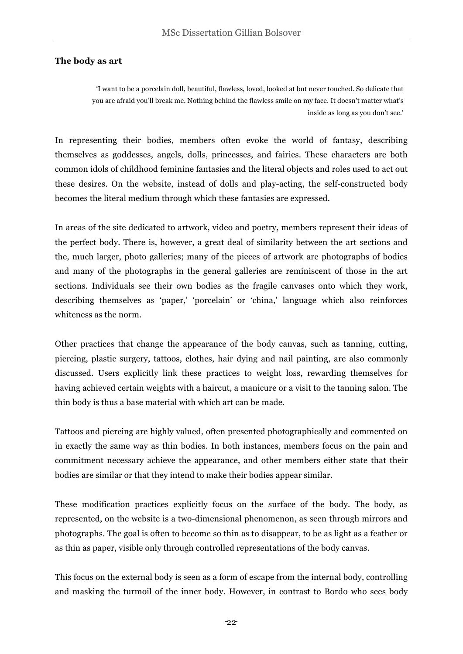### **The body as art**

'I want to be a porcelain doll, beautiful, flawless, loved, looked at but never touched. So delicate that you are afraid you'll break me. Nothing behind the flawless smile on my face. It doesn't matter what's inside as long as you don't see.'

In representing their bodies, members often evoke the world of fantasy, describing themselves as goddesses, angels, dolls, princesses, and fairies. These characters are both common idols of childhood feminine fantasies and the literal objects and roles used to act out these desires. On the website, instead of dolls and play-acting, the self-constructed body becomes the literal medium through which these fantasies are expressed.

In areas of the site dedicated to artwork, video and poetry, members represent their ideas of the perfect body. There is, however, a great deal of similarity between the art sections and the, much larger, photo galleries; many of the pieces of artwork are photographs of bodies and many of the photographs in the general galleries are reminiscent of those in the art sections. Individuals see their own bodies as the fragile canvases onto which they work, describing themselves as 'paper,' 'porcelain' or 'china,' language which also reinforces whiteness as the norm.

Other practices that change the appearance of the body canvas, such as tanning, cutting, piercing, plastic surgery, tattoos, clothes, hair dying and nail painting, are also commonly discussed. Users explicitly link these practices to weight loss, rewarding themselves for having achieved certain weights with a haircut, a manicure or a visit to the tanning salon. The thin body is thus a base material with which art can be made.

Tattoos and piercing are highly valued, often presented photographically and commented on in exactly the same way as thin bodies. In both instances, members focus on the pain and commitment necessary achieve the appearance, and other members either state that their bodies are similar or that they intend to make their bodies appear similar.

These modification practices explicitly focus on the surface of the body. The body, as represented, on the website is a two-dimensional phenomenon, as seen through mirrors and photographs. The goal is often to become so thin as to disappear, to be as light as a feather or as thin as paper, visible only through controlled representations of the body canvas.

This focus on the external body is seen as a form of escape from the internal body, controlling and masking the turmoil of the inner body. However, in contrast to Bordo who sees body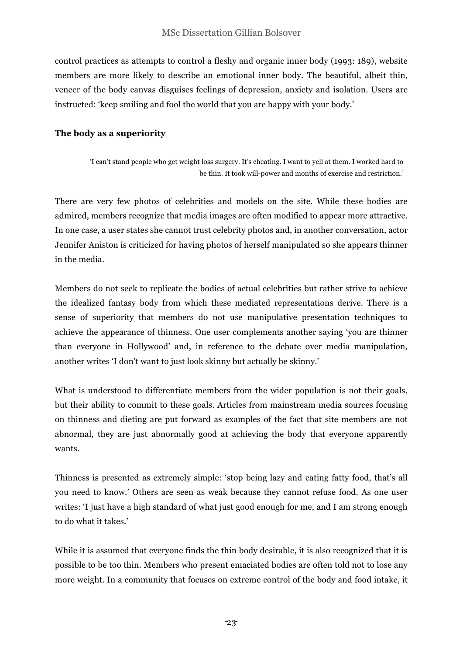control practices as attempts to control a fleshy and organic inner body (1993: 189), website members are more likely to describe an emotional inner body. The beautiful, albeit thin, veneer of the body canvas disguises feelings of depression, anxiety and isolation. Users are instructed: 'keep smiling and fool the world that you are happy with your body.'

## **The body as a superiority**

'I can't stand people who get weight loss surgery. It's cheating. I want to yell at them. I worked hard to be thin. It took will-power and months of exercise and restriction.'

There are very few photos of celebrities and models on the site. While these bodies are admired, members recognize that media images are often modified to appear more attractive. In one case, a user states she cannot trust celebrity photos and, in another conversation, actor Jennifer Aniston is criticized for having photos of herself manipulated so she appears thinner in the media.

Members do not seek to replicate the bodies of actual celebrities but rather strive to achieve the idealized fantasy body from which these mediated representations derive. There is a sense of superiority that members do not use manipulative presentation techniques to achieve the appearance of thinness. One user complements another saying 'you are thinner than everyone in Hollywood' and, in reference to the debate over media manipulation, another writes 'I don't want to just look skinny but actually be skinny.'

What is understood to differentiate members from the wider population is not their goals, but their ability to commit to these goals. Articles from mainstream media sources focusing on thinness and dieting are put forward as examples of the fact that site members are not abnormal, they are just abnormally good at achieving the body that everyone apparently wants.

Thinness is presented as extremely simple: 'stop being lazy and eating fatty food, that's all you need to know.' Others are seen as weak because they cannot refuse food. As one user writes: 'I just have a high standard of what just good enough for me, and I am strong enough to do what it takes.'

While it is assumed that everyone finds the thin body desirable, it is also recognized that it is possible to be too thin. Members who present emaciated bodies are often told not to lose any more weight. In a community that focuses on extreme control of the body and food intake, it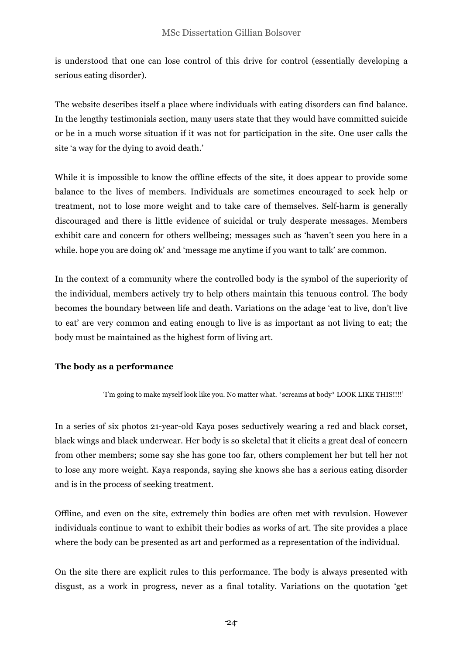is understood that one can lose control of this drive for control (essentially developing a serious eating disorder).

The website describes itself a place where individuals with eating disorders can find balance. In the lengthy testimonials section, many users state that they would have committed suicide or be in a much worse situation if it was not for participation in the site. One user calls the site 'a way for the dying to avoid death.'

While it is impossible to know the offline effects of the site, it does appear to provide some balance to the lives of members. Individuals are sometimes encouraged to seek help or treatment, not to lose more weight and to take care of themselves. Self-harm is generally discouraged and there is little evidence of suicidal or truly desperate messages. Members exhibit care and concern for others wellbeing; messages such as 'haven't seen you here in a while. hope you are doing ok' and 'message me anytime if you want to talk' are common.

In the context of a community where the controlled body is the symbol of the superiority of the individual, members actively try to help others maintain this tenuous control. The body becomes the boundary between life and death. Variations on the adage 'eat to live, don't live to eat' are very common and eating enough to live is as important as not living to eat; the body must be maintained as the highest form of living art.

# **The body as a performance**

'I'm going to make myself look like you. No matter what. \*screams at body\* LOOK LIKE THIS!!!!'

In a series of six photos 21-year-old Kaya poses seductively wearing a red and black corset, black wings and black underwear. Her body is so skeletal that it elicits a great deal of concern from other members; some say she has gone too far, others complement her but tell her not to lose any more weight. Kaya responds, saying she knows she has a serious eating disorder and is in the process of seeking treatment.

Offline, and even on the site, extremely thin bodies are often met with revulsion. However individuals continue to want to exhibit their bodies as works of art. The site provides a place where the body can be presented as art and performed as a representation of the individual.

On the site there are explicit rules to this performance. The body is always presented with disgust, as a work in progress, never as a final totality. Variations on the quotation 'get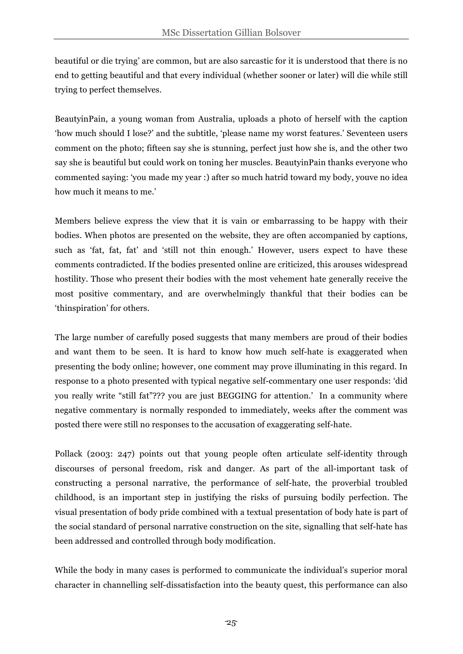beautiful or die trying' are common, but are also sarcastic for it is understood that there is no end to getting beautiful and that every individual (whether sooner or later) will die while still trying to perfect themselves.

BeautyinPain, a young woman from Australia, uploads a photo of herself with the caption 'how much should I lose?' and the subtitle, 'please name my worst features.' Seventeen users comment on the photo; fifteen say she is stunning, perfect just how she is, and the other two say she is beautiful but could work on toning her muscles. BeautyinPain thanks everyone who commented saying: 'you made my year :) after so much hatrid toward my body, youve no idea how much it means to me.'

Members believe express the view that it is vain or embarrassing to be happy with their bodies. When photos are presented on the website, they are often accompanied by captions, such as 'fat, fat, fat' and 'still not thin enough.' However, users expect to have these comments contradicted. If the bodies presented online are criticized, this arouses widespread hostility. Those who present their bodies with the most vehement hate generally receive the most positive commentary, and are overwhelmingly thankful that their bodies can be 'thinspiration' for others.

The large number of carefully posed suggests that many members are proud of their bodies and want them to be seen. It is hard to know how much self-hate is exaggerated when presenting the body online; however, one comment may prove illuminating in this regard. In response to a photo presented with typical negative self-commentary one user responds: 'did you really write "still fat"??? you are just BEGGING for attention.' In a community where negative commentary is normally responded to immediately, weeks after the comment was posted there were still no responses to the accusation of exaggerating self-hate.

Pollack (2003: 247) points out that young people often articulate self-identity through discourses of personal freedom, risk and danger. As part of the all-important task of constructing a personal narrative, the performance of self-hate, the proverbial troubled childhood, is an important step in justifying the risks of pursuing bodily perfection. The visual presentation of body pride combined with a textual presentation of body hate is part of the social standard of personal narrative construction on the site, signalling that self-hate has been addressed and controlled through body modification.

While the body in many cases is performed to communicate the individual's superior moral character in channelling self-dissatisfaction into the beauty quest, this performance can also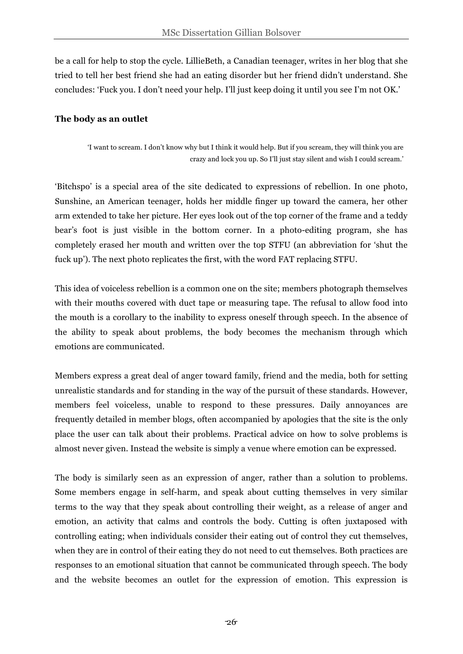be a call for help to stop the cycle. LillieBeth, a Canadian teenager, writes in her blog that she tried to tell her best friend she had an eating disorder but her friend didn't understand. She concludes: 'Fuck you. I don't need your help. I'll just keep doing it until you see I'm not OK.'

## **The body as an outlet**

'I want to scream. I don't know why but I think it would help. But if you scream, they will think you are crazy and lock you up. So I'll just stay silent and wish I could scream.'

'Bitchspo' is a special area of the site dedicated to expressions of rebellion. In one photo, Sunshine, an American teenager, holds her middle finger up toward the camera, her other arm extended to take her picture. Her eyes look out of the top corner of the frame and a teddy bear's foot is just visible in the bottom corner. In a photo-editing program, she has completely erased her mouth and written over the top STFU (an abbreviation for 'shut the fuck up'). The next photo replicates the first, with the word FAT replacing STFU.

This idea of voiceless rebellion is a common one on the site; members photograph themselves with their mouths covered with duct tape or measuring tape. The refusal to allow food into the mouth is a corollary to the inability to express oneself through speech. In the absence of the ability to speak about problems, the body becomes the mechanism through which emotions are communicated.

Members express a great deal of anger toward family, friend and the media, both for setting unrealistic standards and for standing in the way of the pursuit of these standards. However, members feel voiceless, unable to respond to these pressures. Daily annoyances are frequently detailed in member blogs, often accompanied by apologies that the site is the only place the user can talk about their problems. Practical advice on how to solve problems is almost never given. Instead the website is simply a venue where emotion can be expressed.

The body is similarly seen as an expression of anger, rather than a solution to problems. Some members engage in self-harm, and speak about cutting themselves in very similar terms to the way that they speak about controlling their weight, as a release of anger and emotion, an activity that calms and controls the body. Cutting is often juxtaposed with controlling eating; when individuals consider their eating out of control they cut themselves, when they are in control of their eating they do not need to cut themselves. Both practices are responses to an emotional situation that cannot be communicated through speech. The body and the website becomes an outlet for the expression of emotion. This expression is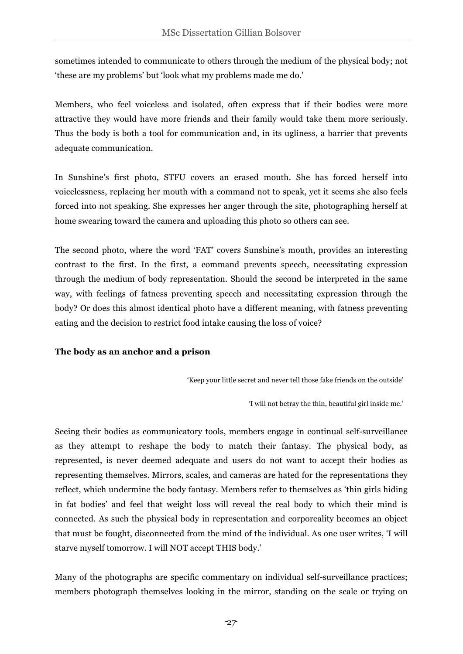sometimes intended to communicate to others through the medium of the physical body; not 'these are my problems' but 'look what my problems made me do.'

Members, who feel voiceless and isolated, often express that if their bodies were more attractive they would have more friends and their family would take them more seriously. Thus the body is both a tool for communication and, in its ugliness, a barrier that prevents adequate communication.

In Sunshine's first photo, STFU covers an erased mouth. She has forced herself into voicelessness, replacing her mouth with a command not to speak, yet it seems she also feels forced into not speaking. She expresses her anger through the site, photographing herself at home swearing toward the camera and uploading this photo so others can see.

The second photo, where the word 'FAT' covers Sunshine's mouth, provides an interesting contrast to the first. In the first, a command prevents speech, necessitating expression through the medium of body representation. Should the second be interpreted in the same way, with feelings of fatness preventing speech and necessitating expression through the body? Or does this almost identical photo have a different meaning, with fatness preventing eating and the decision to restrict food intake causing the loss of voice?

# **The body as an anchor and a prison**

'Keep your little secret and never tell those fake friends on the outside'

'I will not betray the thin, beautiful girl inside me.'

Seeing their bodies as communicatory tools, members engage in continual self-surveillance as they attempt to reshape the body to match their fantasy. The physical body, as represented, is never deemed adequate and users do not want to accept their bodies as representing themselves. Mirrors, scales, and cameras are hated for the representations they reflect, which undermine the body fantasy. Members refer to themselves as 'thin girls hiding in fat bodies' and feel that weight loss will reveal the real body to which their mind is connected. As such the physical body in representation and corporeality becomes an object that must be fought, disconnected from the mind of the individual. As one user writes, 'I will starve myself tomorrow. I will NOT accept THIS body.'

Many of the photographs are specific commentary on individual self-surveillance practices; members photograph themselves looking in the mirror, standing on the scale or trying on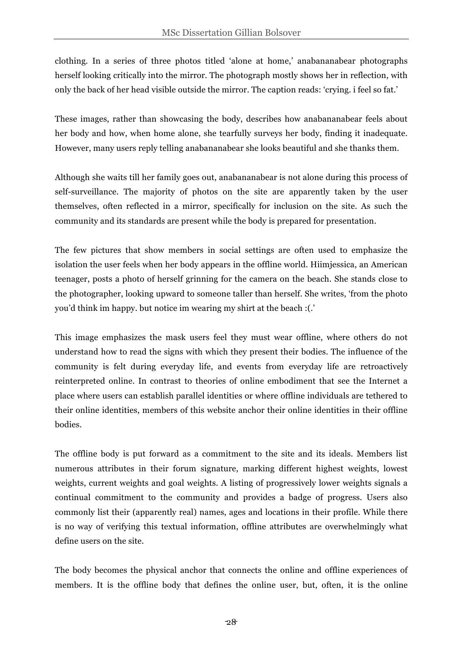clothing. In a series of three photos titled 'alone at home,' anabananabear photographs herself looking critically into the mirror. The photograph mostly shows her in reflection, with only the back of her head visible outside the mirror. The caption reads: 'crying. i feel so fat.'

These images, rather than showcasing the body, describes how anabananabear feels about her body and how, when home alone, she tearfully surveys her body, finding it inadequate. However, many users reply telling anabananabear she looks beautiful and she thanks them.

Although she waits till her family goes out, anabananabear is not alone during this process of self-surveillance. The majority of photos on the site are apparently taken by the user themselves, often reflected in a mirror, specifically for inclusion on the site. As such the community and its standards are present while the body is prepared for presentation.

The few pictures that show members in social settings are often used to emphasize the isolation the user feels when her body appears in the offline world. Hiimjessica, an American teenager, posts a photo of herself grinning for the camera on the beach. She stands close to the photographer, looking upward to someone taller than herself. She writes, 'from the photo you'd think im happy. but notice im wearing my shirt at the beach :(.'

This image emphasizes the mask users feel they must wear offline, where others do not understand how to read the signs with which they present their bodies. The influence of the community is felt during everyday life, and events from everyday life are retroactively reinterpreted online. In contrast to theories of online embodiment that see the Internet a place where users can establish parallel identities or where offline individuals are tethered to their online identities, members of this website anchor their online identities in their offline bodies.

The offline body is put forward as a commitment to the site and its ideals. Members list numerous attributes in their forum signature, marking different highest weights, lowest weights, current weights and goal weights. A listing of progressively lower weights signals a continual commitment to the community and provides a badge of progress. Users also commonly list their (apparently real) names, ages and locations in their profile. While there is no way of verifying this textual information, offline attributes are overwhelmingly what define users on the site.

The body becomes the physical anchor that connects the online and offline experiences of members. It is the offline body that defines the online user, but, often, it is the online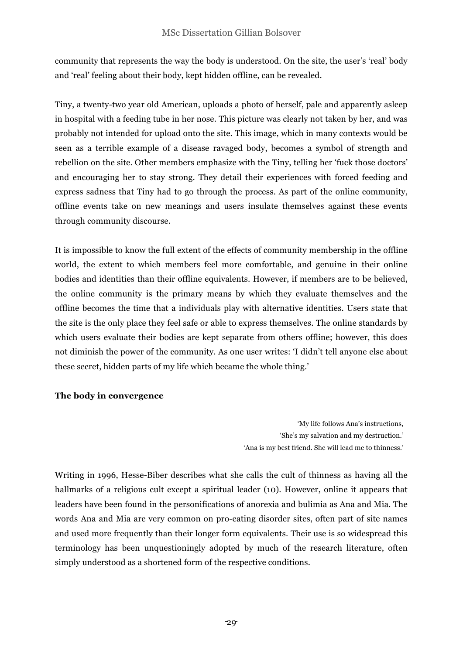community that represents the way the body is understood. On the site, the user's 'real' body and 'real' feeling about their body, kept hidden offline, can be revealed.

Tiny, a twenty-two year old American, uploads a photo of herself, pale and apparently asleep in hospital with a feeding tube in her nose. This picture was clearly not taken by her, and was probably not intended for upload onto the site. This image, which in many contexts would be seen as a terrible example of a disease ravaged body, becomes a symbol of strength and rebellion on the site. Other members emphasize with the Tiny, telling her 'fuck those doctors' and encouraging her to stay strong. They detail their experiences with forced feeding and express sadness that Tiny had to go through the process. As part of the online community, offline events take on new meanings and users insulate themselves against these events through community discourse.

It is impossible to know the full extent of the effects of community membership in the offline world, the extent to which members feel more comfortable, and genuine in their online bodies and identities than their offline equivalents. However, if members are to be believed, the online community is the primary means by which they evaluate themselves and the offline becomes the time that a individuals play with alternative identities. Users state that the site is the only place they feel safe or able to express themselves. The online standards by which users evaluate their bodies are kept separate from others offline; however, this does not diminish the power of the community. As one user writes: 'I didn't tell anyone else about these secret, hidden parts of my life which became the whole thing.'

# **The body in convergence**

'My life follows Ana's instructions, 'She's my salvation and my destruction.' 'Ana is my best friend. She will lead me to thinness.'

Writing in 1996, Hesse-Biber describes what she calls the cult of thinness as having all the hallmarks of a religious cult except a spiritual leader (10). However, online it appears that leaders have been found in the personifications of anorexia and bulimia as Ana and Mia. The words Ana and Mia are very common on pro-eating disorder sites, often part of site names and used more frequently than their longer form equivalents. Their use is so widespread this terminology has been unquestioningly adopted by much of the research literature, often simply understood as a shortened form of the respective conditions.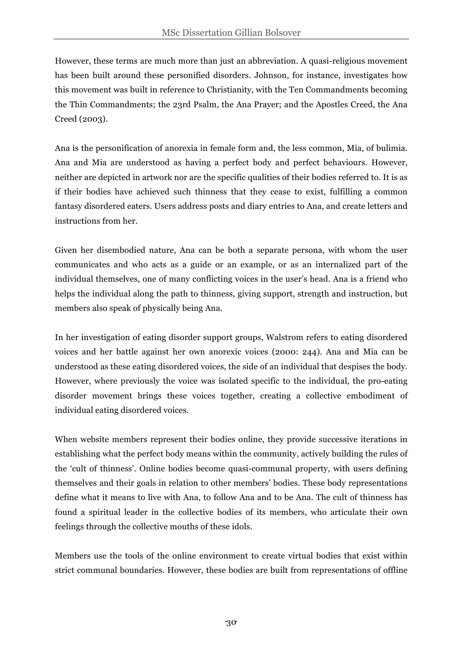However, these terms are much more than just an abbreviation. A quasi-religious movement has been built around these personified disorders. Johnson, for instance, investigates how this movement was built in reference to Christianity, with the Ten Commandments becoming the Thin Commandments; the 23rd Psalm, the Ana Prayer; and the Apostles Creed, the Ana Creed (2003).

Ana is the personification of anorexia in female form and, the less common, Mia, of bulimia. Ana and Mia are understood as having a perfect body and perfect behaviours. However, neither are depicted in artwork nor are the specific qualities of their bodies referred to. It is as if their bodies have achieved such thinness that they cease to exist, fulfilling a common fantasy disordered eaters. Users address posts and diary entries to Ana, and create letters and instructions from her.

Given her disembodied nature, Ana can be both a separate persona, with whom the user communicates and who acts as a guide or an example, or as an internalized part of the individual themselves, one of many conflicting voices in the user's head. Ana is a friend who helps the individual along the path to thinness, giving support, strength and instruction, but members also speak of physically being Ana.

In her investigation of eating disorder support groups, Walstrom refers to eating disordered voices and her battle against her own anorexic voices (2000: 244). Ana and Mia can be understood as these eating disordered voices, the side of an individual that despises the body. However, where previously the voice was isolated specific to the individual, the pro-eating disorder movement brings these voices together, creating a collective embodiment of individual eating disordered voices.

When website members represent their bodies online, they provide successive iterations in establishing what the perfect body means within the community, actively building the rules of the 'cult of thinness'. Online bodies become quasi-communal property, with users defining themselves and their goals in relation to other members' bodies. These body representations define what it means to live with Ana, to follow Ana and to be Ana. The cult of thinness has found a spiritual leader in the collective bodies of its members, who articulate their own feelings through the collective mouths of these idols.

Members use the tools of the online environment to create virtual bodies that exist within strict communal boundaries. However, these bodies are built from representations of offline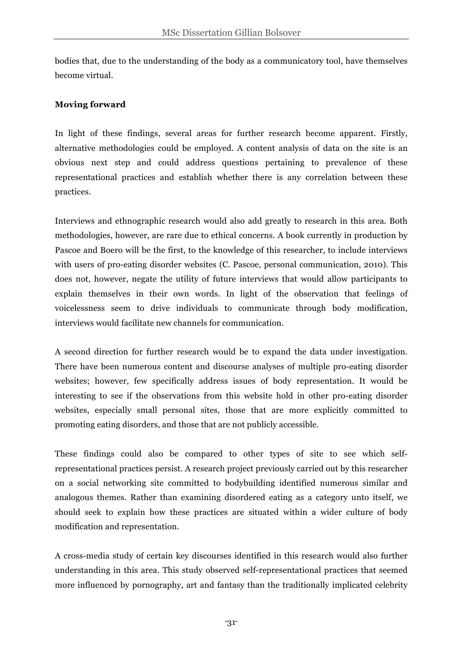bodies that, due to the understanding of the body as a communicatory tool, have themselves become virtual.

# **Moving forward**

In light of these findings, several areas for further research become apparent. Firstly, alternative methodologies could be employed. A content analysis of data on the site is an obvious next step and could address questions pertaining to prevalence of these representational practices and establish whether there is any correlation between these practices.

Interviews and ethnographic research would also add greatly to research in this area. Both methodologies, however, are rare due to ethical concerns. A book currently in production by Pascoe and Boero will be the first, to the knowledge of this researcher, to include interviews with users of pro-eating disorder websites (C. Pascoe, personal communication, 2010). This does not, however, negate the utility of future interviews that would allow participants to explain themselves in their own words. In light of the observation that feelings of voicelessness seem to drive individuals to communicate through body modification, interviews would facilitate new channels for communication.

A second direction for further research would be to expand the data under investigation. There have been numerous content and discourse analyses of multiple pro-eating disorder websites; however, few specifically address issues of body representation. It would be interesting to see if the observations from this website hold in other pro-eating disorder websites, especially small personal sites, those that are more explicitly committed to promoting eating disorders, and those that are not publicly accessible.

These findings could also be compared to other types of site to see which selfrepresentational practices persist. A research project previously carried out by this researcher on a social networking site committed to bodybuilding identified numerous similar and analogous themes. Rather than examining disordered eating as a category unto itself, we should seek to explain how these practices are situated within a wider culture of body modification and representation.

A cross-media study of certain key discourses identified in this research would also further understanding in this area. This study observed self-representational practices that seemed more influenced by pornography, art and fantasy than the traditionally implicated celebrity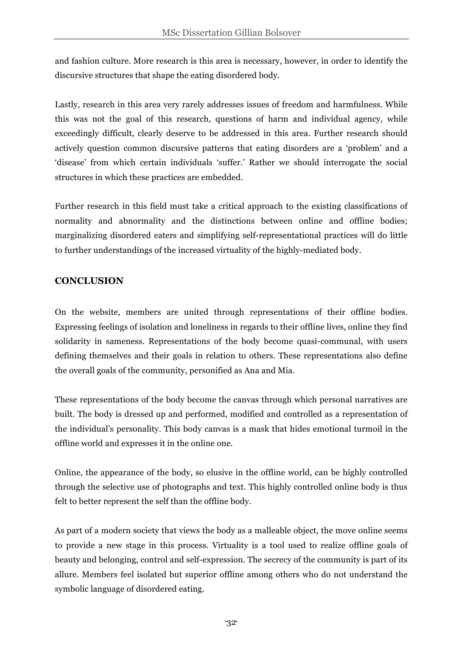and fashion culture. More research is this area is necessary, however, in order to identify the discursive structures that shape the eating disordered body.

Lastly, research in this area very rarely addresses issues of freedom and harmfulness. While this was not the goal of this research, questions of harm and individual agency, while exceedingly difficult, clearly deserve to be addressed in this area. Further research should actively question common discursive patterns that eating disorders are a 'problem' and a 'disease' from which certain individuals 'suffer.' Rather we should interrogate the social structures in which these practices are embedded.

Further research in this field must take a critical approach to the existing classifications of normality and abnormality and the distinctions between online and offline bodies; marginalizing disordered eaters and simplifying self-representational practices will do little to further understandings of the increased virtuality of the highly-mediated body.

# **CONCLUSION**

On the website, members are united through representations of their offline bodies. Expressing feelings of isolation and loneliness in regards to their offline lives, online they find solidarity in sameness. Representations of the body become quasi-communal, with users defining themselves and their goals in relation to others. These representations also define the overall goals of the community, personified as Ana and Mia.

These representations of the body become the canvas through which personal narratives are built. The body is dressed up and performed, modified and controlled as a representation of the individual's personality. This body canvas is a mask that hides emotional turmoil in the offline world and expresses it in the online one.

Online, the appearance of the body, so elusive in the offline world, can be highly controlled through the selective use of photographs and text. This highly controlled online body is thus felt to better represent the self than the offline body.

As part of a modern society that views the body as a malleable object, the move online seems to provide a new stage in this process. Virtuality is a tool used to realize offline goals of beauty and belonging, control and self-expression. The secrecy of the community is part of its allure. Members feel isolated but superior offline among others who do not understand the symbolic language of disordered eating.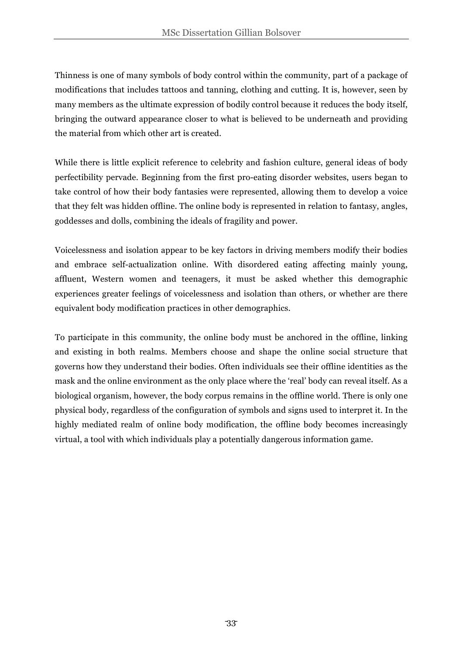Thinness is one of many symbols of body control within the community, part of a package of modifications that includes tattoos and tanning, clothing and cutting. It is, however, seen by many members as the ultimate expression of bodily control because it reduces the body itself, bringing the outward appearance closer to what is believed to be underneath and providing the material from which other art is created.

While there is little explicit reference to celebrity and fashion culture, general ideas of body perfectibility pervade. Beginning from the first pro-eating disorder websites, users began to take control of how their body fantasies were represented, allowing them to develop a voice that they felt was hidden offline. The online body is represented in relation to fantasy, angles, goddesses and dolls, combining the ideals of fragility and power.

Voicelessness and isolation appear to be key factors in driving members modify their bodies and embrace self-actualization online. With disordered eating affecting mainly young, affluent, Western women and teenagers, it must be asked whether this demographic experiences greater feelings of voicelessness and isolation than others, or whether are there equivalent body modification practices in other demographics.

To participate in this community, the online body must be anchored in the offline, linking and existing in both realms. Members choose and shape the online social structure that governs how they understand their bodies. Often individuals see their offline identities as the mask and the online environment as the only place where the 'real' body can reveal itself. As a biological organism, however, the body corpus remains in the offline world. There is only one physical body, regardless of the configuration of symbols and signs used to interpret it. In the highly mediated realm of online body modification, the offline body becomes increasingly virtual, a tool with which individuals play a potentially dangerous information game.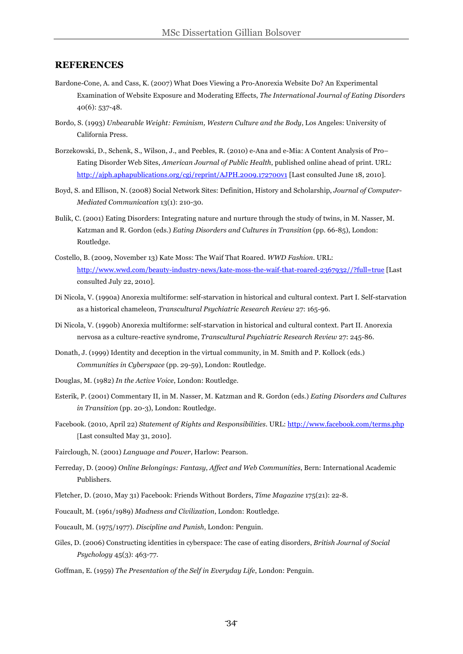#### **REFERENCES**

- Bardone-Cone, A. and Cass, K. (2007) What Does Viewing a Pro-Anorexia Website Do? An Experimental Examination of Website Exposure and Moderating Effects, *The International Journal of Eating Disorders*  40(6): 537-48.
- Bordo, S. (1993) *Unbearable Weight: Feminism, Western Culture and the Body*, Los Angeles: University of California Press.
- Borzekowski, D., Schenk, S., Wilson, J., and Peebles, R. (2010) e-Ana and e-Mia: A Content Analysis of Pro– Eating Disorder Web Sites, *American Journal of Public Health*, published online ahead of print. URL: http://ajph.aphapublications.org/cgi/reprint/AJPH.2009.172700v1 [Last consulted June 18, 2010].
- Boyd, S. and Ellison, N. (2008) Social Network Sites: Definition, History and Scholarship, *Journal of Computer-Mediated Communication* 13(1): 210-30.
- Bulik, C. (2001) Eating Disorders: Integrating nature and nurture through the study of twins, in M. Nasser, M. Katzman and R. Gordon (eds.) *Eating Disorders and Cultures in Transition* (pp. 66-85), London: Routledge.
- Costello, B. (2009, November 13) Kate Moss: The Waif That Roared. *WWD Fashion*. URL: http://www.wwd.com/beauty-industry-news/kate-moss-the-waif-that-roared-2367932//?full=true [Last consulted July 22, 2010].
- Di Nicola, V. (1990a) Anorexia multiforme: self-starvation in historical and cultural context. Part I. Self-starvation as a historical chameleon, *Transcultural Psychiatric Research Review* 27: 165-96.
- Di Nicola, V. (1990b) Anorexia multiforme: self-starvation in historical and cultural context. Part II. Anorexia nervosa as a culture-reactive syndrome, *Transcultural Psychiatric Research Review* 27: 245-86.
- Donath, J. (1999) Identity and deception in the virtual community, in M. Smith and P. Kollock (eds.) *Communities in Cyberspace* (pp. 29-59), London: Routledge.
- Douglas, M. (1982) *In the Active Voice*, London: Routledge.
- Esterik, P. (2001) Commentary II, in M. Nasser, M. Katzman and R. Gordon (eds.) *Eating Disorders and Cultures in Transition* (pp. 20-3), London: Routledge.
- Facebook. (2010, April 22) *Statement of Rights and Responsibilities*. URL: http://www.facebook.com/terms.php [Last consulted May 31, 2010].
- Fairclough, N. (2001) *Language and Power*, Harlow: Pearson.
- Ferreday, D. (2009) *Online Belongings: Fantasy, Affect and Web Communities*, Bern: International Academic Publishers.
- Fletcher, D. (2010, May 31) Facebook: Friends Without Borders, *Time Magazine* 175(21): 22-8.
- Foucault, M. (1961/1989) *Madness and Civilization*, London: Routledge.
- Foucault, M. (1975/1977). *Discipline and Punish*, London: Penguin.
- Giles, D. (2006) Constructing identities in cyberspace: The case of eating disorders, *British Journal of Social Psychology* 45(3): 463-77.
- Goffman, E. (1959) *The Presentation of the Self in Everyday Life*, London: Penguin.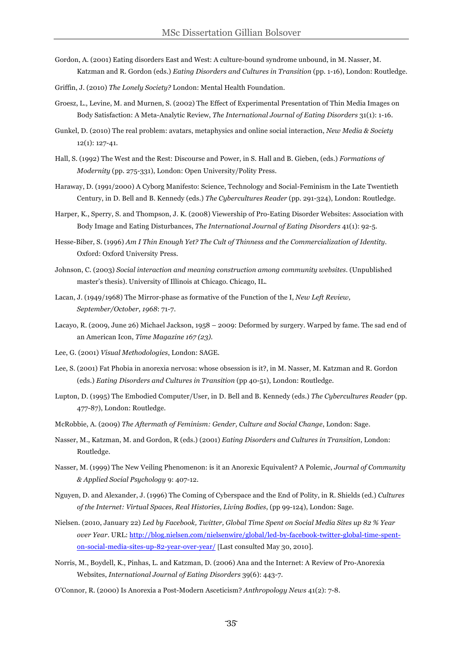- Gordon, A. (2001) Eating disorders East and West: A culture-bound syndrome unbound, in M. Nasser, M. Katzman and R. Gordon (eds.) *Eating Disorders and Cultures in Transition* (pp. 1-16), London: Routledge.
- Griffin, J. (2010) *The Lonely Society?* London: Mental Health Foundation.
- Groesz, L., Levine, M. and Murnen, S. (2002) The Effect of Experimental Presentation of Thin Media Images on Body Satisfaction: A Meta-Analytic Review, *The International Journal of Eating Disorders* 31(1): 1-16.
- Gunkel, D. (2010) The real problem: avatars, metaphysics and online social interaction, *New Media & Society*  12(1): 127-41.
- Hall, S. (1992) The West and the Rest: Discourse and Power, in S. Hall and B. Gieben, (eds.) *Formations of Modernity* (pp. 275-331), London: Open University/Polity Press.
- Haraway, D. (1991/2000) A Cyborg Manifesto: Science, Technology and Social-Feminism in the Late Twentieth Century, in D. Bell and B. Kennedy (eds.) *The Cybercultures Reader* (pp. 291-324), London: Routledge.
- Harper, K., Sperry, S. and Thompson, J. K. (2008) Viewership of Pro-Eating Disorder Websites: Association with Body Image and Eating Disturbances, *The International Journal of Eating Disorders* 41(1): 92-5.
- Hesse-Biber, S. (1996) *Am I Thin Enough Yet? The Cult of Thinness and the Commercialization of Identity*. Oxford: Oxford University Press.
- Johnson, C. (2003) *Social interaction and meaning construction among community websites*. (Unpublished master's thesis). University of Illinois at Chicago. Chicago, IL.
- Lacan, J. (1949/1968) The Mirror-phase as formative of the Function of the I, *New Left Review, September/October, 1968*: 71-7.
- Lacayo, R. (2009, June 26) Michael Jackson, 1958 2009: Deformed by surgery. Warped by fame. The sad end of an American Icon, *Time Magazine 167 (23).*
- Lee, G. (2001) *Visual Methodologies*, London: SAGE.
- Lee, S. (2001) Fat Phobia in anorexia nervosa: whose obsession is it?, in M. Nasser, M. Katzman and R. Gordon (eds.) *Eating Disorders and Cultures in Transition* (pp 40-51), London: Routledge.
- Lupton, D. (1995) The Embodied Computer/User, in D. Bell and B. Kennedy (eds.) *The Cybercultures Reader* (pp. 477-87), London: Routledge.
- McRobbie, A. (2009) *The Aftermath of Feminism: Gender, Culture and Social Change*, London: Sage.
- Nasser, M., Katzman, M. and Gordon, R (eds.) (2001) *Eating Disorders and Cultures in Transition*, London: Routledge.
- Nasser, M. (1999) The New Veiling Phenomenon: is it an Anorexic Equivalent? A Polemic, *Journal of Community & Applied Social Psychology* 9: 407-12.
- Nguyen, D. and Alexander, J. (1996) The Coming of Cyberspace and the End of Polity, in R. Shields (ed.) *Cultures of the Internet: Virtual Spaces, Real Histories, Living Bodies*, (pp 99-124), London: Sage.
- Nielsen. (2010, January 22) *Led by Facebook, Twitter, Global Time Spent on Social Media Sites up 82 % Year over Year*. URL: http://blog.nielsen.com/nielsenwire/global/led-by-facebook-twitter-global-time-spenton-social-media-sites-up-82-year-over-year/ [Last consulted May 30, 2010].
- Norris, M., Boydell, K., Pinhas, L. and Katzman, D. (2006) Ana and the Internet: A Review of Pro-Anorexia Websites, *International Journal of Eating Disorders* 39(6): 443-7.
- O'Connor, R. (2000) Is Anorexia a Post-Modern Asceticism? *Anthropology News* 41(2): 7-8.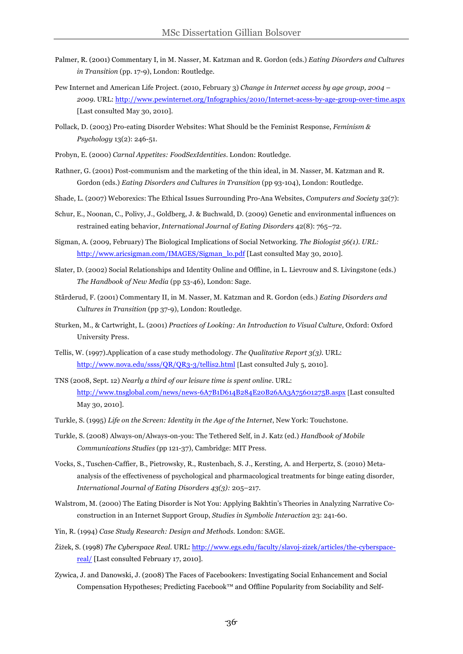- Palmer, R. (2001) Commentary I, in M. Nasser, M. Katzman and R. Gordon (eds.) *Eating Disorders and Cultures in Transition* (pp. 17-9), London: Routledge.
- Pew Internet and American Life Project. (2010, February 3) *Change in Internet access by age group, 2004 – 2009*. URL: http://www.pewinternet.org/Infographics/2010/Internet-acess-by-age-group-over-time.aspx [Last consulted May 30, 2010].
- Pollack, D. (2003) Pro-eating Disorder Websites: What Should be the Feminist Response, *Feminism & Psychology* 13(2): 246-51.
- Probyn, E. (2000) *Carnal Appetites: FoodSexIdentities*. London: Routledge.
- Rathner, G. (2001) Post-communism and the marketing of the thin ideal, in M. Nasser, M. Katzman and R. Gordon (eds.) *Eating Disorders and Cultures in Transition* (pp 93-104), London: Routledge.
- Shade, L. (2007) Weborexics: The Ethical Issues Surrounding Pro-Ana Websites, *Computers and Society* 32(7):
- Schur, E., Noonan, C., Polivy, J., Goldberg, J. & Buchwald, D. (2009) Genetic and environmental influences on restrained eating behavior, *International Journal of Eating Disorders* 42(8): 765–72.
- Sigman, A. (2009, February) The Biological Implications of Social Networking. *The Biologist 56(1). URL:*  http://www.aricsigman.com/IMAGES/Sigman\_lo.pdf [Last consulted May 30, 2010].
- Slater, D. (2002) Social Relationships and Identity Online and Offline, in L. Lievrouw and S. Livingstone (eds.) *The Handbook of New Media* (pp 53-46), London: Sage.
- Stårderud, F. (2001) Commentary II, in M. Nasser, M. Katzman and R. Gordon (eds.) *Eating Disorders and Cultures in Transition* (pp 37-9), London: Routledge.
- Sturken, M., & Cartwright, L. (2001) *Practices of Looking: An Introduction to Visual Culture*, Oxford: Oxford University Press.
- Tellis, W. (1997).Application of a case study methodology. *The Qualitative Report 3(3).* URL: http://www.nova.edu/ssss/QR/QR3-3/tellis2.html [Last consulted July 5, 2010].
- TNS (2008, Sept. 12) *Nearly a third of our leisure time is spent online*. URL: http://www.tnsglobal.com/news/news-6A7B1D614B284E20B26AA3A75601275B.aspx [Last consulted May 30, 2010].
- Turkle, S. (1995) *Life on the Screen: Identity in the Age of the Internet*, New York: Touchstone.
- Turkle, S. (2008) Always-on/Always-on-you: The Tethered Self, in J. Katz (ed.) *Handbook of Mobile Communications Studies* (pp 121-37), Cambridge: MIT Press.
- Vocks, S., Tuschen-Caffier, B., Pietrowsky, R., Rustenbach, S. J., Kersting, A. and Herpertz, S. (2010) Metaanalysis of the effectiveness of psychological and pharmacological treatments for binge eating disorder, *International Journal of Eating Disorders 43(3):* 205–217.
- Walstrom, M. (2000) The Eating Disorder is Not You: Applying Bakhtin's Theories in Analyzing Narrative Coconstruction in an Internet Support Group, *Studies in Symbolic Interaction* 23: 241-60.
- Yin, R. (1994) *Case Study Research: Design and Methods*. London: SAGE.
- Žižek, S. (1998) *The Cyberspace Real*. URL: http://www.egs.edu/faculty/slavoj-zizek/articles/the-cyberspacereal/ [Last consulted February 17, 2010].
- Zywica, J. and Danowski, J. (2008) The Faces of Facebookers: Investigating Social Enhancement and Social Compensation Hypotheses; Predicting Facebook™ and Offline Popularity from Sociability and Self-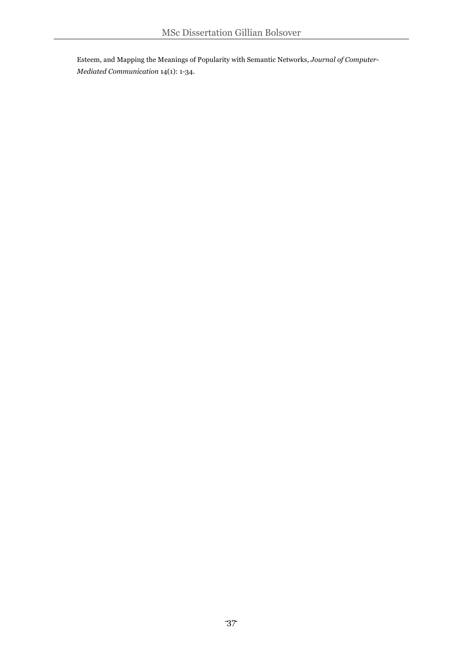Esteem, and Mapping the Meanings of Popularity with Semantic Networks, *Journal of Computer-Mediated Communication* 14(1): 1-34.